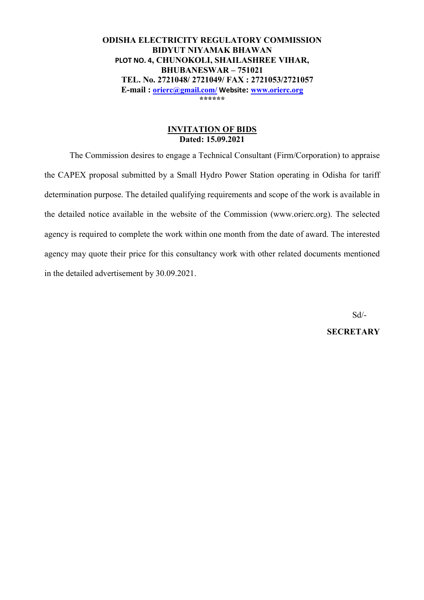**ODISHA ELECTRICITY REGULATORY COMMISSION BIDYUT NIYAMAK BHAWAN PLOT NO. 4, CHUNOKOLI, SHAILASHREE VIHAR, BHUBANESWAR – 751021 TEL. No. 2721048/ 2721049/ FAX : 2721053/2721057 E-mail : orierc@gmail.com/ Website: www.orierc.org \*\*\*\*\*\*** 

## **INVITATION OF BIDS Dated: 15.09.2021**

The Commission desires to engage a Technical Consultant (Firm/Corporation) to appraise the CAPEX proposal submitted by a Small Hydro Power Station operating in Odisha for tariff determination purpose. The detailed qualifying requirements and scope of the work is available in the detailed notice available in the website of the Commission (www.orierc.org). The selected agency is required to complete the work within one month from the date of award. The interested agency may quote their price for this consultancy work with other related documents mentioned in the detailed advertisement by 30.09.2021.

 Sd/- **SECRETARY**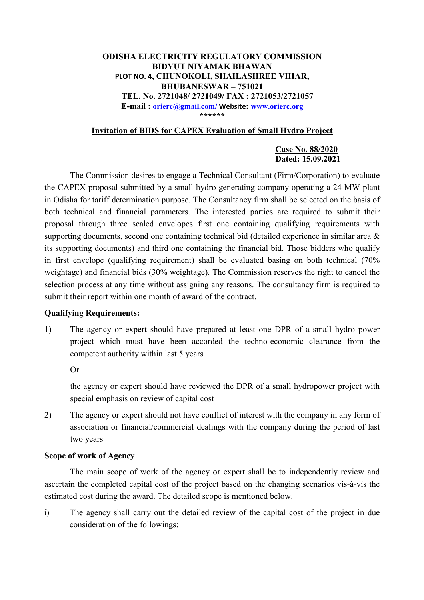### **ODISHA ELECTRICITY REGULATORY COMMISSION BIDYUT NIYAMAK BHAWAN PLOT NO. 4, CHUNOKOLI, SHAILASHREE VIHAR, BHUBANESWAR – 751021 TEL. No. 2721048/ 2721049/ FAX : 2721053/2721057 E-mail : orierc@gmail.com/ Website: www.orierc.org \*\*\*\*\*\***

## **Invitation of BIDS for CAPEX Evaluation of Small Hydro Project**

#### **Case No. 88/2020 Dated: 15.09.2021**

The Commission desires to engage a Technical Consultant (Firm/Corporation) to evaluate the CAPEX proposal submitted by a small hydro generating company operating a 24 MW plant in Odisha for tariff determination purpose. The Consultancy firm shall be selected on the basis of both technical and financial parameters. The interested parties are required to submit their proposal through three sealed envelopes first one containing qualifying requirements with supporting documents, second one containing technical bid (detailed experience in similar area & its supporting documents) and third one containing the financial bid. Those bidders who qualify in first envelope (qualifying requirement) shall be evaluated basing on both technical (70% weightage) and financial bids (30% weightage). The Commission reserves the right to cancel the selection process at any time without assigning any reasons. The consultancy firm is required to submit their report within one month of award of the contract.

#### **Qualifying Requirements:**

1) The agency or expert should have prepared at least one DPR of a small hydro power project which must have been accorded the techno-economic clearance from the competent authority within last 5 years

Or

the agency or expert should have reviewed the DPR of a small hydropower project with special emphasis on review of capital cost

2) The agency or expert should not have conflict of interest with the company in any form of association or financial/commercial dealings with the company during the period of last two years

#### **Scope of work of Agency**

 The main scope of work of the agency or expert shall be to independently review and ascertain the completed capital cost of the project based on the changing scenarios vis-à-vis the estimated cost during the award. The detailed scope is mentioned below.

i) The agency shall carry out the detailed review of the capital cost of the project in due consideration of the followings: